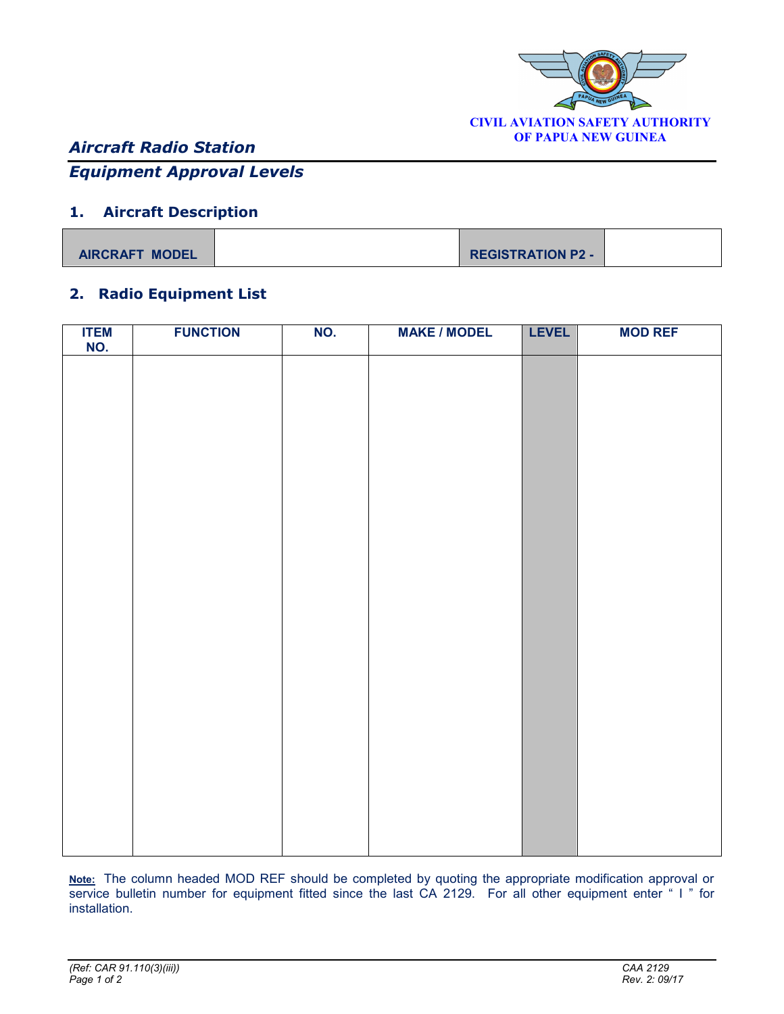

# *Aircraft Radio Station*

## *Equipment Approval Levels*

#### **1. Aircraft Description**

| <b>AIRCRAFT MODEL</b> | <b>REGISTRATION P2 -</b> |  |
|-----------------------|--------------------------|--|

#### **2. Radio Equipment List**

| ITEM<br>NO. | <b>FUNCTION</b> | NO. | <b>MAKE / MODEL</b> | <b>LEVEL</b> | <b>MOD REF</b> |
|-------------|-----------------|-----|---------------------|--------------|----------------|
|             |                 |     |                     |              |                |
|             |                 |     |                     |              |                |
|             |                 |     |                     |              |                |
|             |                 |     |                     |              |                |
|             |                 |     |                     |              |                |
|             |                 |     |                     |              |                |
|             |                 |     |                     |              |                |
|             |                 |     |                     |              |                |
|             |                 |     |                     |              |                |
|             |                 |     |                     |              |                |
|             |                 |     |                     |              |                |
|             |                 |     |                     |              |                |
|             |                 |     |                     |              |                |
|             |                 |     |                     |              |                |
|             |                 |     |                     |              |                |
|             |                 |     |                     |              |                |
|             |                 |     |                     |              |                |
|             |                 |     |                     |              |                |
|             |                 |     |                     |              |                |
|             |                 |     |                     |              |                |
|             |                 |     |                     |              |                |
|             |                 |     |                     |              |                |
|             |                 |     |                     |              |                |

**Note:** The column headed MOD REF should be completed by quoting the appropriate modification approval or service bulletin number for equipment fitted since the last CA 2129. For all other equipment enter " I " for installation.